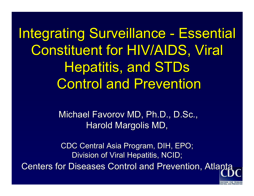Integrating Surveillance - Essential Constituent for HIV/AIDS, Viral Hepatitis, and STDs **Control and Prevention** 

> Michael Favorov MD, Ph.D., D.Sc., Harold Margolis MD,

CDC Central Asia Program, DIH, EPO; Division of Viral Hepatitis, NCID; Centers for Diseases Control and Prevention, Atlanta

**CENTERS FOR DISEAS**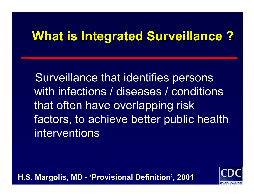# **What is Integrated Surveillance ? What is Integrated Surveillance ?**

Surveillance that identifies persons with infections / diseases / conditions that often have overlapping risk factors, to achieve better public health interventions

**H.S. Margolis, MD - 'Provisional Definition', 2001**

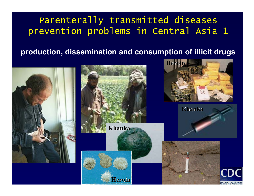#### Parenterally transmitted diseases prevention problems in Central Asia 1

#### **production, dissemination and consumption of illicit drugs**

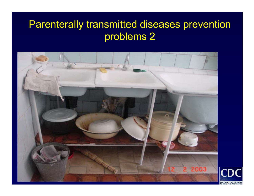### Parenterally transmitted diseases prevention problems 2



**CENTERS FOR DISEASE**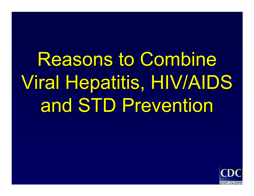**Reasons to Combine** Viral Hepatitis, HIV/AIDS Viral Hepatitis, HIV/AIDS and STD Prevention

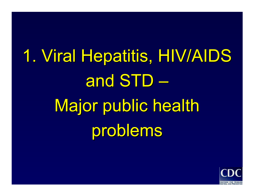1. Viral Hepatitis, HIV/AIDS and  $STD -$ Major public health problems

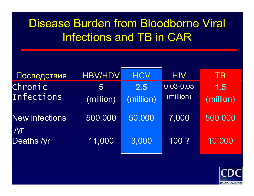# Disease Burden from Bloodborne Viral Infections and TB in CAR

| Последствия           | <b>HBV/HDV</b> | <b>HCV</b>       | <b>HIV</b>             | <b>TB</b>        |
|-----------------------|----------------|------------------|------------------------|------------------|
| Chronic<br>Infections | 5<br>(million) | 2.5<br>(million) | 0.03-0.05<br>(million) | 1.5<br>(million) |
| <b>New infections</b> | 500,000        | 50,000           | 7,000                  | 500 000          |
| /yr<br>Deaths /yr     | 11,000         | 3,000            | 100 ?                  | 10,000           |

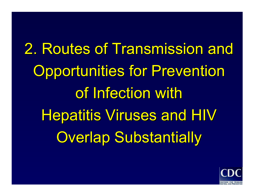# 2. Routes of Transmission and Opportunities for Prevention of Infection with Hepatitis Viruses and HIV **Overlap Substantially**

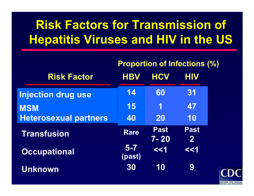# **Risk Factors for Transmission of Hepatitis Viruses and HIV in the US**

|                              | <b>Proportion of Infections (%)</b> |                         |                             |  |
|------------------------------|-------------------------------------|-------------------------|-----------------------------|--|
| <b>Risk Factor</b>           | <b>HBV</b>                          | <b>HCV</b>              | <b>HIV</b>                  |  |
| <b>Injection drug use</b>    | 14                                  | 60                      | 31                          |  |
| <b>MSM</b>                   | 15                                  | 1                       | 47                          |  |
| <b>Heterosexual partners</b> | 40                                  | <b>20</b>               | 10                          |  |
| <b>Transfusion</b>           | <b>Rare</b>                         | <b>Past</b><br>$7 - 20$ | <b>Past</b><br>$\mathbf{2}$ |  |
| <b>Occupational</b>          | $5 - 7$<br>(past)                   | <<1                     | <<1                         |  |
| Unknown                      | 30                                  | 10                      | 9                           |  |

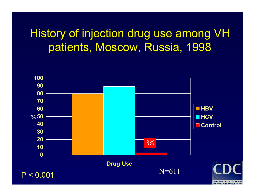# History of injection drug use among VH patients, Moscow, Russia, 1998



**CENTERS FOR DISEASE** CONTROL AND PR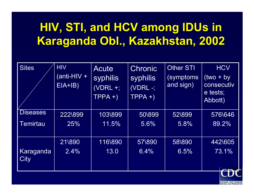# **HIV, STI, and HCV among IDUs in Karaganda Obl., Kazakhstan, 2002**

| <b>Sites</b>    | <b>HIV</b>    | Acute      | <b>Chronic</b> | <b>Other STI</b> | <b>HCV</b>          |
|-----------------|---------------|------------|----------------|------------------|---------------------|
|                 | $(anti-HIV +$ | syphilis   | syphilis       | (symptoms        | $(two + by$         |
|                 | $EIA+IB)$     | $(VDRL +;$ | (VDRL -;       | and sign)        | consecutiv          |
|                 |               | $TPPA +$   | $TPPA +$       |                  | e tests;<br>Abbott) |
| <b>Diseases</b> | 222\899       | 103\899    | 50\899         | 52\899           | 576\646             |
| <b>Temirtau</b> | 25%           | 11.5%      | 5.6%           | 5.8%             | 89.2%               |
|                 |               |            |                |                  |                     |
|                 | 21\890        | 116\890    | 57\890         | 58\890           | 442\605             |
| Karaganda       | 2.4%          | 13.0       | 6.4%           | 6.5%             | 73.1%               |
| City            |               |            |                |                  |                     |
|                 |               |            |                |                  |                     |

**CENTERS FOR DISEASE**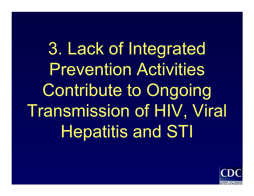3. Lack of Integrated Prevention Activities Contribute to Ongoing Transmission of HIV, Viral Hepatitis and STI

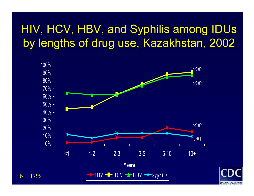# HIV, HCV, HBV, and Syphilis among IDUs by lengths of drug use, Kazakhstan, 2002



**CENTERS FOR DISEASE**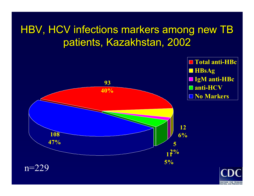### HBV, HCV infections markers among new TB patients, Kazakhstan, 2002



**CENTERS FOR DISEASE**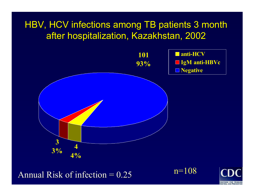#### HBV, HCV infections among TB patients 3 month after hospitalization, Kazakhstan, 2002



Annual Risk of infection  $= 0.25$ 

n=108

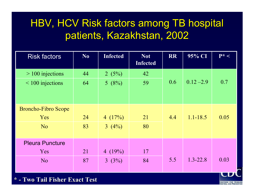#### HBV, HCV Risk factors among TB hospital patients, Kazakhstan, 2002

| <b>Risk factors</b>        | No | <b>Infected</b> | <b>Not</b><br><b>Infected</b> | <b>RR</b> | 95% CI       | $P^*$ < |
|----------------------------|----|-----------------|-------------------------------|-----------|--------------|---------|
| $> 100$ injections         | 44 | 2(5%)           | 42                            |           |              |         |
| $\leq 100$ injections      | 64 | 5(8%)           | 59                            | 0.6       | $0.12 - 2.9$ | 0.7     |
| <b>Broncho-Fibro Scope</b> |    |                 |                               |           |              |         |
| <b>Yes</b>                 | 24 | 4 $(17%)$       | 21                            | 4.4       | $1.1 - 18.5$ | 0.05    |
| N <sub>o</sub>             | 83 | 3(4%)           | 80                            |           |              |         |
| <b>Pleura Puncture</b>     |    |                 |                               |           |              |         |
| Yes                        | 21 | 4 $(19%)$       | 17                            |           |              |         |
| N <sub>o</sub>             | 87 | 3(3%)           | 84                            | 5.5       | $1.3 - 22.8$ | 0.03    |

**CENTERS FOR DISEASE** 

#### **\* - Two Tail Fisher Exact Test Two Tail Fisher Exact Test**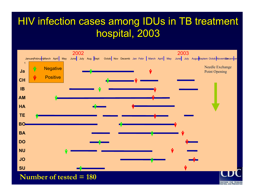#### HIV infection cases among IDUs in TB treatment hospital, 2003



**CENTERS FOR DISEASE**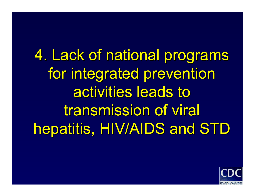4. Lack of national programs for integrated prevention activities leads to transmission of viral hepatitis, HIV/AIDS and STD

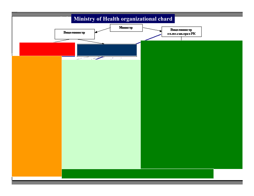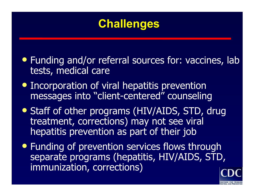## **Challenges**

- Funding and/or referral sources for: vaccines, lab tests, medical care
- Incorporation of viral hepatitis prevention messages into "client-centered" counseling
- Staff of other programs (HIV/AIDS, STD, drug treatment, corrections) may not see viral hepatitis prevention as part of their job
- Funding of prevention services flows through separate programs (hepatitis, HIV/AIDS, STD, immunization, corrections)

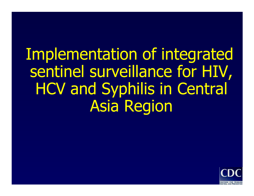# Implementation of integrated sentinel surveillance for HIV, HCV and Syphilis in Central Asia Region

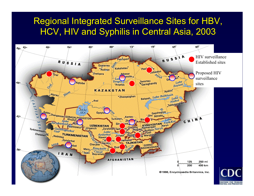#### Regional Integrated Surveillance Sites for HBV, HCV, HIV and Syphilis in Central Asia, 2003

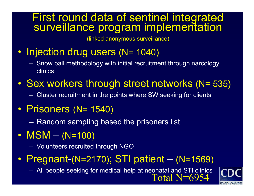# First round data of sentinel integrated<br>surveillance program implementation

(linked anonymous surveillance)

- Injection drug users (N= 1040)
	- Snow ball methodology with initial recruitment through narcology clinics
- $\bullet$ • Sex workers through street networks (N= 535)
	- Cluster recruitment in the points where SW seeking for clients
- $\bullet$ • Prisoners (N= 1540)
	- Random sampling based the prisoners list
- M S M  $\mathcal{L}_{\mathcal{A}}$  (N=100)
	- Volunteers recruited through NGO
- $\bullet$ • Pregnant-(N=2170); STI patient  $\mathcal{L}_{\mathcal{A}}$  (N=1569)
	- $-$  All people seeking for medical help at neonatal and STI clinics<br> $\fbox{\rm Total N=}$

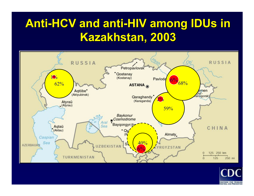# **Anti-HCV and anti-HIV among IDUs in Kazakhstan, 2003 Kazakhstan, 2003**



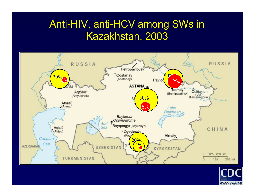#### Anti-HIV, anti-HCV among SWs in Kazakhstan, 2003



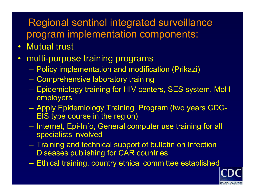#### Regional sentinel integrated surveillance program implementation components:

- $\bullet$ Mutual trust
- •multi-purpose training programs
	- Policy implementation and modification (Prikazi)
	- Comprehensive laboratory training
	- Epidemiology training for HIV centers, SES system, MoH employers
	- Apply Epidemiology Training Program (two years CDC-EIS type course in the region)
	- –- Internet, Epi-Info, General computer use training for all specialists involved
	- Training and technical support of bulletin on Infection Diseases publishing for CAR countries
	- Ethical training, country ethical committee established

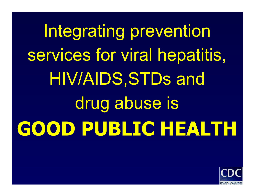Integrating prevention services for viral hepatitis, HIV/AIDS,STDs and drug abuse is **GOOD PUBLIC HEALTH**